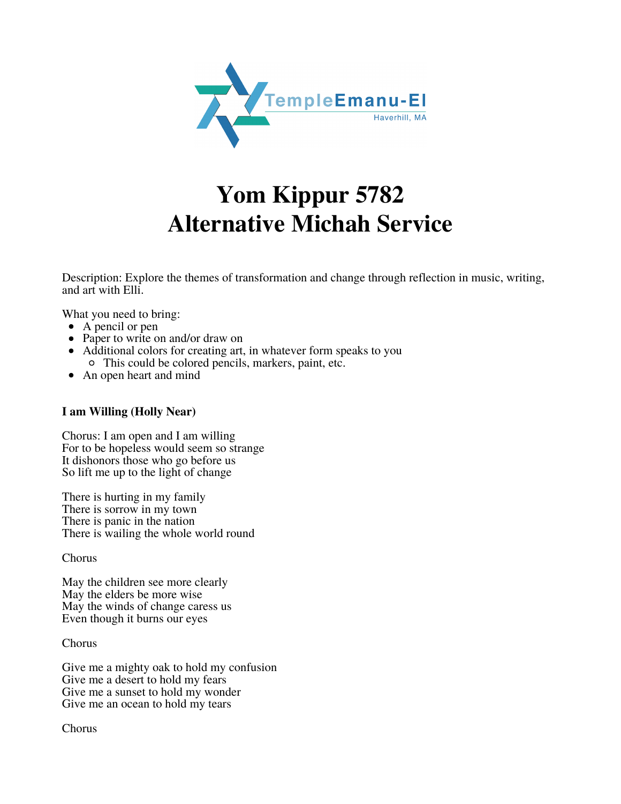

## **Yom Kippur 5782 Alternative Michah Service**

Description: Explore the themes of transformation and change through reflection in music, writing, and art with Elli.

What you need to bring:

- A pencil or pen
- Paper to write on and/or draw on
- Additional colors for creating art, in whatever form speaks to you This could be colored pencils, markers, paint, etc.
- An open heart and mind

## **I am Willing (Holly Near)**

Chorus: I am open and I am willing For to be hopeless would seem so strange It dishonors those who go before us So lift me up to the light of change

There is hurting in my family There is sorrow in my town There is panic in the nation There is wailing the whole world round

Chorus

May the children see more clearly May the elders be more wise May the winds of change caress us Even though it burns our eyes

Chorus

Give me a mighty oak to hold my confusion Give me a desert to hold my fears Give me a sunset to hold my wonder Give me an ocean to hold my tears

Chorus